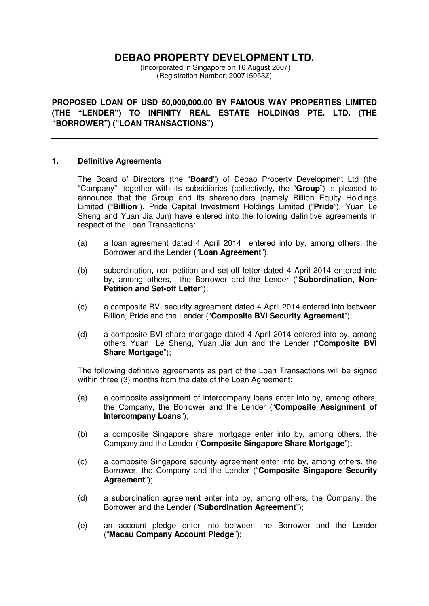# **DEBAO PROPERTY DEVELOPMENT LTD.**

 (Incorporated in Singapore on 16 August 2007) (Registration Number: 200715053Z)

**PROPOSED LOAN OF USD 50,000,000.00 BY FAMOUS WAY PROPERTIES LIMITED (THE "LENDER") TO INFINITY REAL ESTATE HOLDINGS PTE. LTD. (THE "BORROWER") ("LOAN TRANSACTIONS")** 

#### **1. Definitive Agreements**

The Board of Directors (the "**Board**") of Debao Property Development Ltd (the "Company", together with its subsidiaries (collectively, the "**Group**") is pleased to announce that the Group and its shareholders (namely Billion Equity Holdings Limited ("**Billion**"), Pride Capital Investment Holdings Limited ("**Pride**"), Yuan Le Sheng and Yuan Jia Jun) have entered into the following definitive agreements in respect of the Loan Transactions:

- (a) a loan agreement dated 4 April 2014 entered into by, among others, the Borrower and the Lender ("**Loan Agreement**");
- (b) subordination, non-petition and set-off letter dated 4 April 2014 entered into by, among others, the Borrower and the Lender ("**Subordination, Non-Petition and Set-off Letter**");
- (c) a composite BVI security agreement dated 4 April 2014 entered into between Billion, Pride and the Lender ("**Composite BVI Security Agreement**");
- (d) a composite BVI share mortgage dated 4 April 2014 entered into by, among others, Yuan Le Sheng, Yuan Jia Jun and the Lender ("**Composite BVI Share Mortgage**");

The following definitive agreements as part of the Loan Transactions will be signed within three (3) months from the date of the Loan Agreement:

- (a) a composite assignment of intercompany loans enter into by, among others, the Company, the Borrower and the Lender ("**Composite Assignment of Intercompany Loans**");
- (b) a composite Singapore share mortgage enter into by, among others, the Company and the Lender ("**Composite Singapore Share Mortgage**");
- (c) a composite Singapore security agreement enter into by, among others, the Borrower, the Company and the Lender ("**Composite Singapore Security Agreement**");
- (d) a subordination agreement enter into by, among others, the Company, the Borrower and the Lender ("**Subordination Agreement**");
- (e) an account pledge enter into between the Borrower and the Lender ("**Macau Company Account Pledge**");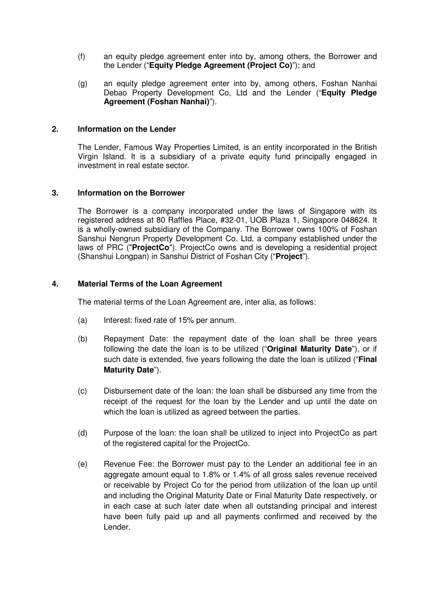- (f) an equity pledge agreement enter into by, among others, the Borrower and the Lender ("**Equity Pledge Agreement (Project Co)**"); and
- (g) an equity pledge agreement enter into by, among others, Foshan Nanhai Debao Property Development Co, Ltd and the Lender ("**Equity Pledge Agreement (Foshan Nanhai)**").

#### **2. Information on the Lender**

The Lender, Famous Way Properties Limited, is an entity incorporated in the British Virgin Island. It is a subsidiary of a private equity fund principally engaged in investment in real estate sector.

#### **3. Information on the Borrower**

The Borrower is a company incorporated under the laws of Singapore with its registered address at 80 Raffles Place, #32-01, UOB Plaza 1, Singapore 048624. It is a wholly-owned subsidiary of the Company. The Borrower owns 100% of Foshan Sanshui Nengrun Property Development Co. Ltd, a company established under the laws of PRC ("**ProjectCo**"). ProjectCo owns and is developing a residential project (Shanshui Longpan) in Sanshui District of Foshan City ("**Project**").

#### **4. Material Terms of the Loan Agreement**

The material terms of the Loan Agreement are, inter alia, as follows:

- (a) Interest: fixed rate of 15% per annum.
- (b) Repayment Date: the repayment date of the loan shall be three years following the date the loan is to be utilized ("**Original Maturity Date**"), or if such date is extended, five years following the date the loan is utilized ("**Final Maturity Date**").
- (c) Disbursement date of the loan: the loan shall be disbursed any time from the receipt of the request for the loan by the Lender and up until the date on which the loan is utilized as agreed between the parties.
- (d) Purpose of the loan: the loan shall be utilized to inject into ProjectCo as part of the registered capital for the ProjectCo.
- (e) Revenue Fee: the Borrower must pay to the Lender an additional fee in an aggregate amount equal to 1.8% or 1.4% of all gross sales revenue received or receivable by Project Co for the period from utilization of the loan up until and including the Original Maturity Date or Final Maturity Date respectively, or in each case at such later date when all outstanding principal and interest have been fully paid up and all payments confirmed and received by the Lender.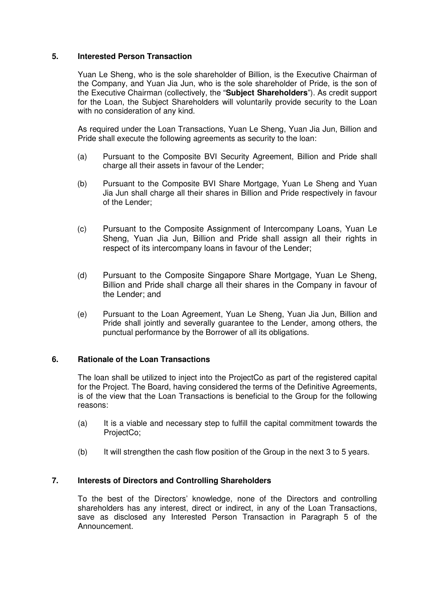#### **5. Interested Person Transaction**

Yuan Le Sheng, who is the sole shareholder of Billion, is the Executive Chairman of the Company, and Yuan Jia Jun, who is the sole shareholder of Pride, is the son of the Executive Chairman (collectively, the "**Subject Shareholders**"). As credit support for the Loan, the Subject Shareholders will voluntarily provide security to the Loan with no consideration of any kind.

As required under the Loan Transactions, Yuan Le Sheng, Yuan Jia Jun, Billion and Pride shall execute the following agreements as security to the loan:

- (a) Pursuant to the Composite BVI Security Agreement, Billion and Pride shall charge all their assets in favour of the Lender;
- (b) Pursuant to the Composite BVI Share Mortgage, Yuan Le Sheng and Yuan Jia Jun shall charge all their shares in Billion and Pride respectively in favour of the Lender;
- (c) Pursuant to the Composite Assignment of Intercompany Loans, Yuan Le Sheng, Yuan Jia Jun, Billion and Pride shall assign all their rights in respect of its intercompany loans in favour of the Lender;
- (d) Pursuant to the Composite Singapore Share Mortgage, Yuan Le Sheng, Billion and Pride shall charge all their shares in the Company in favour of the Lender; and
- (e) Pursuant to the Loan Agreement, Yuan Le Sheng, Yuan Jia Jun, Billion and Pride shall jointly and severally guarantee to the Lender, among others, the punctual performance by the Borrower of all its obligations.

#### **6. Rationale of the Loan Transactions**

The loan shall be utilized to inject into the ProjectCo as part of the registered capital for the Project. The Board, having considered the terms of the Definitive Agreements, is of the view that the Loan Transactions is beneficial to the Group for the following reasons:

- (a) It is a viable and necessary step to fulfill the capital commitment towards the ProjectCo;
- (b) It will strengthen the cash flow position of the Group in the next 3 to 5 years.

### **7. Interests of Directors and Controlling Shareholders**

To the best of the Directors' knowledge, none of the Directors and controlling shareholders has any interest, direct or indirect, in any of the Loan Transactions, save as disclosed any Interested Person Transaction in Paragraph 5 of the Announcement.